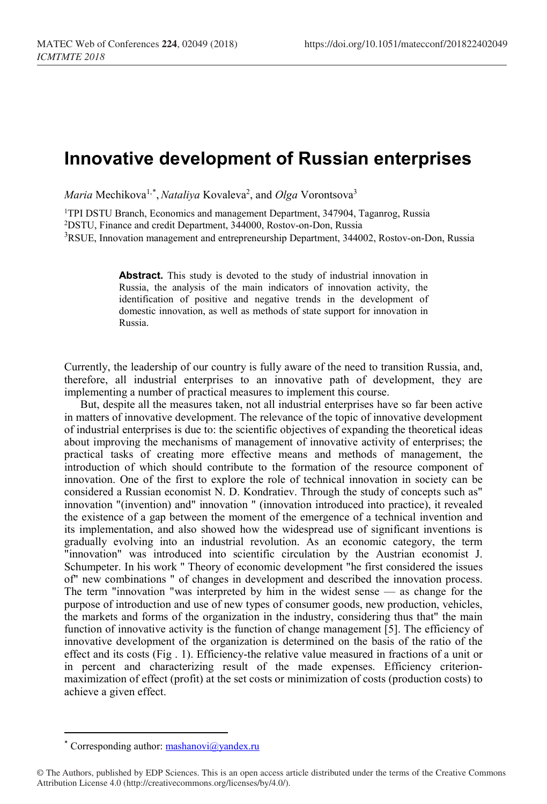## **Innovative development of Russian enterprises**

*Maria* Mechikova<sup>1,[\\*](#page-0-0)</sup>, *Nataliya* Kovaleva<sup>2</sup>, and *Olga* Vorontsova<sup>3</sup>

<sup>1</sup>TPI DSTU Branch, Economics and management Department, 347904, Taganrog, Russia 2DSTU, Finance and credit Department, 344000, Rostov-on-Don, Russia <sup>3</sup>RSUE, Innovation management and entrepreneurship Department, 344002, Rostov-on-Don, Russia

> Abstract. This study is devoted to the study of industrial innovation in Russia, the analysis of the main indicators of innovation activity, the identification of positive and negative trends in the development of domestic innovation, as well as methods of state support for innovation in Russia.

Currently, the leadership of our country is fully aware of the need to transition Russia, and, therefore, all industrial enterprises to an innovative path of development, they are implementing a number of practical measures to implement this course.

But, despite all the measures taken, not all industrial enterprises have so far been active in matters of innovative development. The relevance of the topic of innovative development of industrial enterprises is due to: the scientific objectives of expanding the theoretical ideas about improving the mechanisms of management of innovative activity of enterprises; the practical tasks of creating more effective means and methods of management, the introduction of which should contribute to the formation of the resource component of innovation. One of the first to explore the role of technical innovation in society can be considered a Russian economist N. D. Kondratiev. Through the study of concepts such as" innovation "(invention) and" innovation " (innovation introduced into practice), it revealed the existence of a gap between the moment of the emergence of a technical invention and its implementation, and also showed how the widespread use of significant inventions is gradually evolving into an industrial revolution. As an economic category, the term "innovation" was introduced into scientific circulation by the Austrian economist J. Schumpeter. In his work " Theory of economic development "he first considered the issues of" new combinations " of changes in development and described the innovation process. The term "innovation "was interpreted by him in the widest sense — as change for the purpose of introduction and use of new types of consumer goods, new production, vehicles, the markets and forms of the organization in the industry, considering thus that" the main function of innovative activity is the function of change management [5]. The efficiency of innovative development of the organization is determined on the basis of the ratio of the effect and its costs (Fig . 1). Efficiency-the relative value measured in fractions of a unit or in percent and characterizing result of the made expenses. Efficiency criterionmaximization of effect (profit) at the set costs or minimization of costs (production costs) to achieve a given effect.

 $\overline{\phantom{a}}$ 

Corresponding author:  $\text{maskanov}(\hat{\omega} \text{y} \text{and} \text{ex} \cdot \text{ru})$ 

<span id="page-0-0"></span><sup>©</sup> The Authors, published by EDP Sciences. This is an open access article distributed under the terms of the Creative Commons Attribution License 4.0 (http://creativecommons.org/licenses/by/4.0/).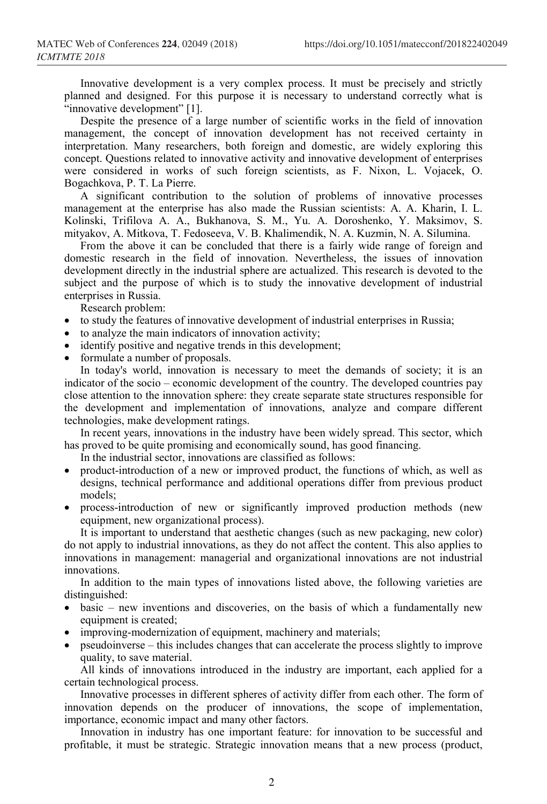Innovative development is a very complex process. It must be precisely and strictly planned and designed. For this purpose it is necessary to understand correctly what is "innovative development" [1].

Despite the presence of a large number of scientific works in the field of innovation management, the concept of innovation development has not received certainty in interpretation. Many researchers, both foreign and domestic, are widely exploring this concept. Questions related to innovative activity and innovative development of enterprises were considered in works of such foreign scientists, as F. Nixon, L. Vojacek, O. Bogachkova, P. T. La Pierre.

A significant contribution to the solution of problems of innovative processes management at the enterprise has also made the Russian scientists: A. A. Kharin, I. L. Kolinski, Trifilova A. A., Bukhanova, S. M., Yu. A. Doroshenko, Y. Maksimov, S. mityakov, A. Mitkova, T. Fedoseeva, V. B. Khalimendik, N. A. Kuzmin, N. A. Silumina.

From the above it can be concluded that there is a fairly wide range of foreign and domestic research in the field of innovation. Nevertheless, the issues of innovation development directly in the industrial sphere are actualized. This research is devoted to the subject and the purpose of which is to study the innovative development of industrial enterprises in Russia.

Research problem:

- to study the features of innovative development of industrial enterprises in Russia;
- to analyze the main indicators of innovation activity;
- identify positive and negative trends in this development;
- formulate a number of proposals.

In today's world, innovation is necessary to meet the demands of society; it is an indicator of the socio – economic development of the country. The developed countries pay close attention to the innovation sphere: they create separate state structures responsible for the development and implementation of innovations, analyze and compare different technologies, make development ratings.

In recent years, innovations in the industry have been widely spread. This sector, which has proved to be quite promising and economically sound, has good financing.

In the industrial sector, innovations are classified as follows:

- product-introduction of a new or improved product, the functions of which, as well as designs, technical performance and additional operations differ from previous product models;
- process-introduction of new or significantly improved production methods (new equipment, new organizational process).

It is important to understand that aesthetic changes (such as new packaging, new color) do not apply to industrial innovations, as they do not affect the content. This also applies to innovations in management: managerial and organizational innovations are not industrial innovations.

In addition to the main types of innovations listed above, the following varieties are distinguished:

- basic new inventions and discoveries, on the basis of which a fundamentally new equipment is created;
- improving-modernization of equipment, machinery and materials;
- pseudoinverse this includes changes that can accelerate the process slightly to improve quality, to save material.

All kinds of innovations introduced in the industry are important, each applied for a certain technological process.

Innovative processes in different spheres of activity differ from each other. The form of innovation depends on the producer of innovations, the scope of implementation, importance, economic impact and many other factors.

Innovation in industry has one important feature: for innovation to be successful and profitable, it must be strategic. Strategic innovation means that a new process (product,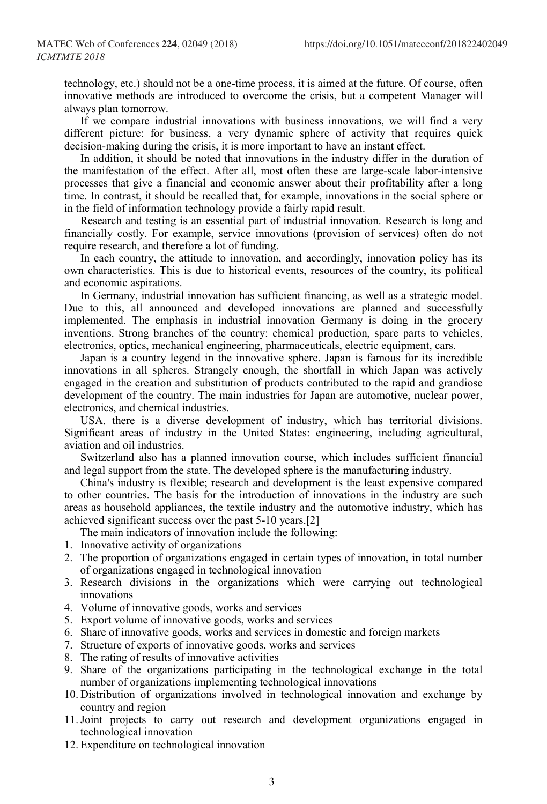technology, etc.) should not be a one-time process, it is aimed at the future. Of course, often innovative methods are introduced to overcome the crisis, but a competent Manager will always plan tomorrow.

If we compare industrial innovations with business innovations, we will find a very different picture: for business, a very dynamic sphere of activity that requires quick decision-making during the crisis, it is more important to have an instant effect.

In addition, it should be noted that innovations in the industry differ in the duration of the manifestation of the effect. After all, most often these are large-scale labor-intensive processes that give a financial and economic answer about their profitability after a long time. In contrast, it should be recalled that, for example, innovations in the social sphere or in the field of information technology provide a fairly rapid result.

Research and testing is an essential part of industrial innovation. Research is long and financially costly. For example, service innovations (provision of services) often do not require research, and therefore a lot of funding.

In each country, the attitude to innovation, and accordingly, innovation policy has its own characteristics. This is due to historical events, resources of the country, its political and economic aspirations.

In Germany, industrial innovation has sufficient financing, as well as a strategic model. Due to this, all announced and developed innovations are planned and successfully implemented. The emphasis in industrial innovation Germany is doing in the grocery inventions. Strong branches of the country: chemical production, spare parts to vehicles, electronics, optics, mechanical engineering, pharmaceuticals, electric equipment, cars.

Japan is a country legend in the innovative sphere. Japan is famous for its incredible innovations in all spheres. Strangely enough, the shortfall in which Japan was actively engaged in the creation and substitution of products contributed to the rapid and grandiose development of the country. The main industries for Japan are automotive, nuclear power, electronics, and chemical industries.

USA. there is a diverse development of industry, which has territorial divisions. Significant areas of industry in the United States: engineering, including agricultural, aviation and oil industries.

Switzerland also has a planned innovation course, which includes sufficient financial and legal support from the state. The developed sphere is the manufacturing industry.

China's industry is flexible; research and development is the least expensive compared to other countries. The basis for the introduction of innovations in the industry are such areas as household appliances, the textile industry and the automotive industry, which has achieved significant success over the past 5-10 years.[2]

The main indicators of innovation include the following:

- 1. Innovative activity of organizations
- 2. The proportion of organizations engaged in certain types of innovation, in total number of organizations engaged in technological innovation
- 3. Research divisions in the organizations which were carrying out technological innovations
- 4. Volume of innovative goods, works and services
- 5. Export volume of innovative goods, works and services
- 6. Share of innovative goods, works and services in domestic and foreign markets
- 7. Structure of exports of innovative goods, works and services
- 8. The rating of results of innovative activities
- 9. Share of the organizations participating in the technological exchange in the total number of organizations implementing technological innovations
- 10. Distribution of organizations involved in technological innovation and exchange by country and region
- 11.Joint projects to carry out research and development organizations engaged in technological innovation
- 12. Expenditure on technological innovation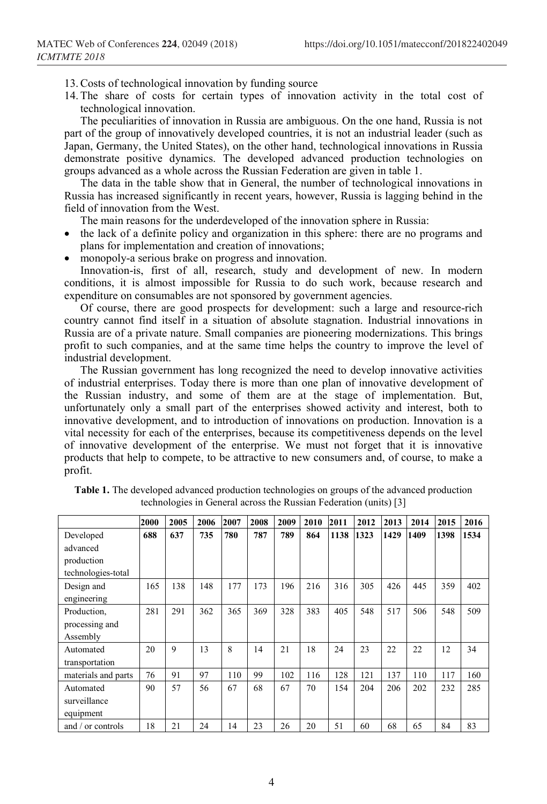- 13.Costs of technological innovation by funding source
- 14. The share of costs for certain types of innovation activity in the total cost of technological innovation.

The peculiarities of innovation in Russia are ambiguous. On the one hand, Russia is not part of the group of innovatively developed countries, it is not an industrial leader (such as Japan, Germany, the United States), on the other hand, technological innovations in Russia demonstrate positive dynamics. The developed advanced production technologies on groups advanced as a whole across the Russian Federation are given in table 1.

The data in the table show that in General, the number of technological innovations in Russia has increased significantly in recent years, however, Russia is lagging behind in the field of innovation from the West.

The main reasons for the underdeveloped of the innovation sphere in Russia:

- the lack of a definite policy and organization in this sphere: there are no programs and plans for implementation and creation of innovations;
- monopoly-a serious brake on progress and innovation.

Innovation-is, first of all, research, study and development of new. In modern conditions, it is almost impossible for Russia to do such work, because research and expenditure on consumables are not sponsored by government agencies.

Of course, there are good prospects for development: such a large and resource-rich country cannot find itself in a situation of absolute stagnation. Industrial innovations in Russia are of a private nature. Small companies are pioneering modernizations. This brings profit to such companies, and at the same time helps the country to improve the level of industrial development.

The Russian government has long recognized the need to develop innovative activities of industrial enterprises. Today there is more than one plan of innovative development of the Russian industry, and some of them are at the stage of implementation. But, unfortunately only a small part of the enterprises showed activity and interest, both to innovative development, and to introduction of innovations on production. Innovation is a vital necessity for each of the enterprises, because its competitiveness depends on the level of innovative development of the enterprise. We must not forget that it is innovative products that help to compete, to be attractive to new consumers and, of course, to make a profit.

|                     | 2000 | 2005 | 2006 | 2007 | 2008 | 2009 | 2010 | 2011 | 2012 | 2013 | 2014 | 2015 | 2016 |
|---------------------|------|------|------|------|------|------|------|------|------|------|------|------|------|
| Developed           | 688  | 637  | 735  | 780  | 787  | 789  | 864  | 1138 | 1323 | 1429 | 1409 | 1398 | 1534 |
| advanced            |      |      |      |      |      |      |      |      |      |      |      |      |      |
| production          |      |      |      |      |      |      |      |      |      |      |      |      |      |
| technologies-total  |      |      |      |      |      |      |      |      |      |      |      |      |      |
| Design and          | 165  | 138  | 148  | 177  | 173  | 196  | 216  | 316  | 305  | 426  | 445  | 359  | 402  |
| engineering         |      |      |      |      |      |      |      |      |      |      |      |      |      |
| Production,         | 281  | 291  | 362  | 365  | 369  | 328  | 383  | 405  | 548  | 517  | 506  | 548  | 509  |
| processing and      |      |      |      |      |      |      |      |      |      |      |      |      |      |
| Assembly            |      |      |      |      |      |      |      |      |      |      |      |      |      |
| Automated           | 20   | 9    | 13   | 8    | 14   | 21   | 18   | 24   | 23   | 22   | 22   | 12   | 34   |
| transportation      |      |      |      |      |      |      |      |      |      |      |      |      |      |
| materials and parts | 76   | 91   | 97   | 110  | 99   | 102  | 116  | 128  | 121  | 137  | 110  | 117  | 160  |
| Automated           | 90   | 57   | 56   | 67   | 68   | 67   | 70   | 154  | 204  | 206  | 202  | 232  | 285  |
| surveillance        |      |      |      |      |      |      |      |      |      |      |      |      |      |
| equipment           |      |      |      |      |      |      |      |      |      |      |      |      |      |
| and / or controls   | 18   | 21   | 24   | 14   | 23   | 26   | 20   | 51   | 60   | 68   | 65   | 84   | 83   |

**Table 1.** The developed advanced production technologies on groups of the advanced production technologies in General across the Russian Federation (units) [3]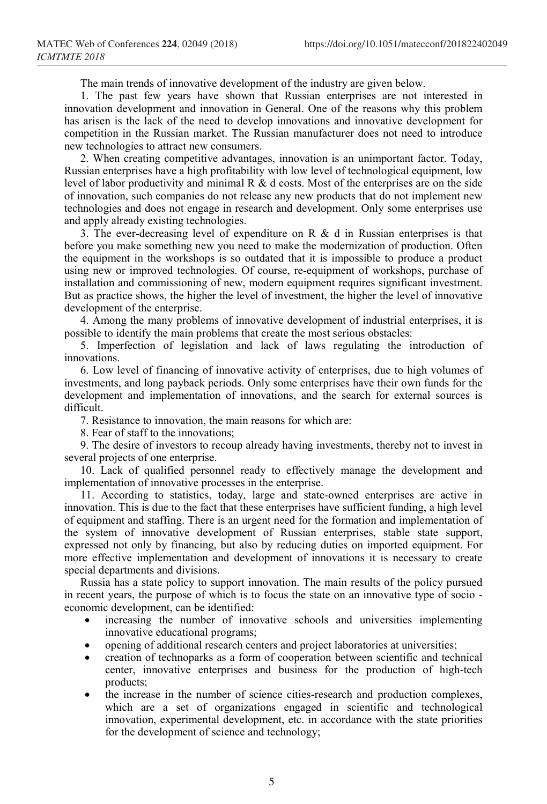The main trends of innovative development of the industry are given below.

1. The past few years have shown that Russian enterprises are not interested in innovation development and innovation in General. One of the reasons why this problem has arisen is the lack of the need to develop innovations and innovative development for competition in the Russian market. The Russian manufacturer does not need to introduce new technologies to attract new consumers.

2. When creating competitive advantages, innovation is an unimportant factor. Today, Russian enterprises have a high profitability with low level of technological equipment, low level of labor productivity and minimal R & d costs. Most of the enterprises are on the side of innovation, such companies do not release any new products that do not implement new technologies and does not engage in research and development. Only some enterprises use and apply already existing technologies.

3. The ever-decreasing level of expenditure on R & d in Russian enterprises is that before you make something new you need to make the modernization of production. Often the equipment in the workshops is so outdated that it is impossible to produce a product using new or improved technologies. Of course, re-equipment of workshops, purchase of installation and commissioning of new, modern equipment requires significant investment. But as practice shows, the higher the level of investment, the higher the level of innovative development of the enterprise.

4. Among the many problems of innovative development of industrial enterprises, it is possible to identify the main problems that create the most serious obstacles:

5. Imperfection of legislation and lack of laws regulating the introduction of innovations.

6. Low level of financing of innovative activity of enterprises, due to high volumes of investments, and long payback periods. Only some enterprises have their own funds for the development and implementation of innovations, and the search for external sources is difficult.

7. Resistance to innovation, the main reasons for which are:

8. Fear of staff to the innovations;

9. The desire of investors to recoup already having investments, thereby not to invest in several projects of one enterprise.

10. Lack of qualified personnel ready to effectively manage the development and implementation of innovative processes in the enterprise.

11. According to statistics, today, large and state-owned enterprises are active in innovation. This is due to the fact that these enterprises have sufficient funding, a high level of equipment and staffing. There is an urgent need for the formation and implementation of the system of innovative development of Russian enterprises, stable state support, expressed not only by financing, but also by reducing duties on imported equipment. For more effective implementation and development of innovations it is necessary to create special departments and divisions.

Russia has a state policy to support innovation. The main results of the policy pursued in recent years, the purpose of which is to focus the state on an innovative type of socio economic development, can be identified:

- increasing the number of innovative schools and universities implementing innovative educational programs;
- opening of additional research centers and project laboratories at universities;
- creation of technoparks as a form of cooperation between scientific and technical center, innovative enterprises and business for the production of high-tech products;
- the increase in the number of science cities-research and production complexes, which are a set of organizations engaged in scientific and technological innovation, experimental development, etc. in accordance with the state priorities for the development of science and technology;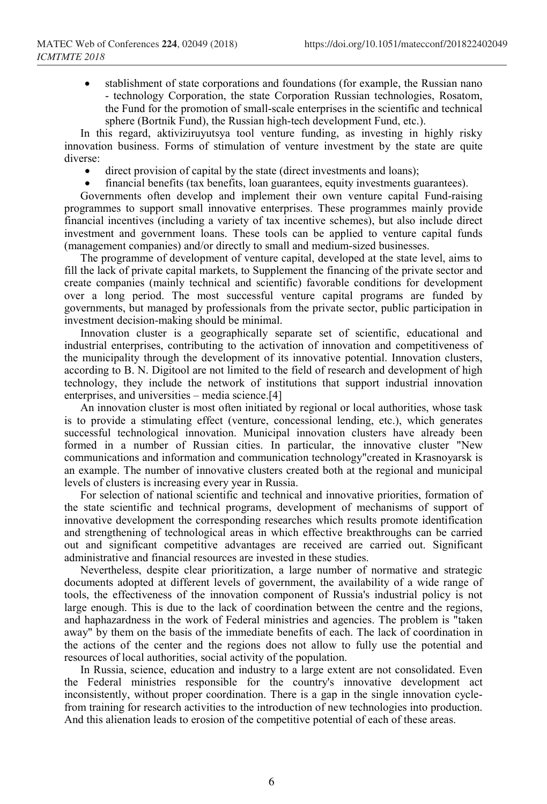stablishment of state corporations and foundations (for example, the Russian nano - technology Corporation, the state Corporation Russian technologies, Rosatom, the Fund for the promotion of small-scale enterprises in the scientific and technical sphere (Bortnik Fund), the Russian high-tech development Fund, etc.).

In this regard, aktiviziruyutsya tool venture funding, as investing in highly risky innovation business. Forms of stimulation of venture investment by the state are quite diverse:

- direct provision of capital by the state (direct investments and loans);
- financial benefits (tax benefits, loan guarantees, equity investments guarantees).

Governments often develop and implement their own venture capital Fund-raising programmes to support small innovative enterprises. These programmes mainly provide financial incentives (including a variety of tax incentive schemes), but also include direct investment and government loans. These tools can be applied to venture capital funds (management companies) and/or directly to small and medium-sized businesses.

The programme of development of venture capital, developed at the state level, aims to fill the lack of private capital markets, to Supplement the financing of the private sector and create companies (mainly technical and scientific) favorable conditions for development over a long period. The most successful venture capital programs are funded by governments, but managed by professionals from the private sector, public participation in investment decision-making should be minimal.

Innovation cluster is a geographically separate set of scientific, educational and industrial enterprises, contributing to the activation of innovation and competitiveness of the municipality through the development of its innovative potential. Innovation clusters, according to B. N. Digitool are not limited to the field of research and development of high technology, they include the network of institutions that support industrial innovation enterprises, and universities – media science.[4]

An innovation cluster is most often initiated by regional or local authorities, whose task is to provide a stimulating effect (venture, concessional lending, etc.), which generates successful technological innovation. Municipal innovation clusters have already been formed in a number of Russian cities. In particular, the innovative cluster "New communications and information and communication technology"created in Krasnoyarsk is an example. The number of innovative clusters created both at the regional and municipal levels of clusters is increasing every year in Russia.

For selection of national scientific and technical and innovative priorities, formation of the state scientific and technical programs, development of mechanisms of support of innovative development the corresponding researches which results promote identification and strengthening of technological areas in which effective breakthroughs can be carried out and significant competitive advantages are received are carried out. Significant administrative and financial resources are invested in these studies.

Nevertheless, despite clear prioritization, a large number of normative and strategic documents adopted at different levels of government, the availability of a wide range of tools, the effectiveness of the innovation component of Russia's industrial policy is not large enough. This is due to the lack of coordination between the centre and the regions, and haphazardness in the work of Federal ministries and agencies. The problem is "taken away" by them on the basis of the immediate benefits of each. The lack of coordination in the actions of the center and the regions does not allow to fully use the potential and resources of local authorities, social activity of the population.

In Russia, science, education and industry to a large extent are not consolidated. Even the Federal ministries responsible for the country's innovative development act inconsistently, without proper coordination. There is a gap in the single innovation cyclefrom training for research activities to the introduction of new technologies into production. And this alienation leads to erosion of the competitive potential of each of these areas.